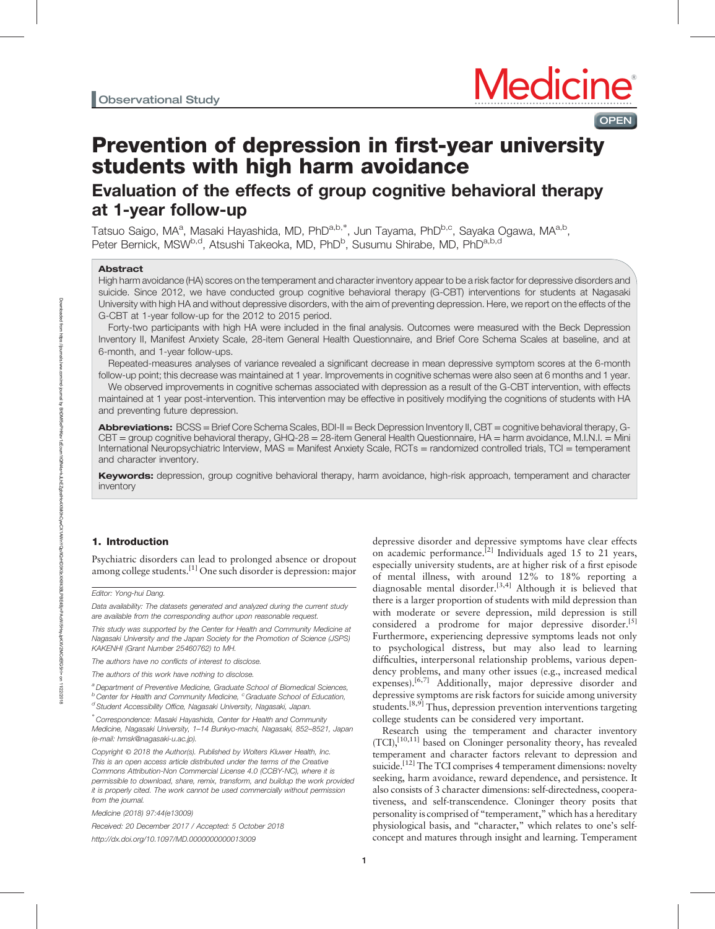# Prevention of depression in first-year university students with high harm avoidance

# Evaluation of the effects of group cognitive behavioral therapy at 1-year follow-up

Tatsuo Saigo, MA<sup>a</sup>, Masaki Hayashida, MD, PhD<sup>a,b,\*</sup>, Jun Tayama, PhD<sup>b,c</sup>, Sayaka Ogawa, MA<sup>a,b</sup>, Peter Bernick, MSW<sup>b,d</sup>, Atsushi Takeoka, MD, PhD<sup>b</sup>, Susumu Shirabe, MD, PhD<sup>a,b,d</sup>

# Abstract

High harm avoidance (HA) scores on the temperament and character inventory appear to be a risk factor for depressive disorders and suicide. Since 2012, we have conducted group cognitive behavioral therapy (G-CBT) interventions for students at Nagasaki University with high HA and without depressive disorders, with the aim of preventing depression. Here, we report on the effects of the G-CBT at 1-year follow-up for the 2012 to 2015 period.

Forty-two participants with high HA were included in the final analysis. Outcomes were measured with the Beck Depression Inventory II, Manifest Anxiety Scale, 28-item General Health Questionnaire, and Brief Core Schema Scales at baseline, and at 6-month, and 1-year follow-ups.

Repeated-measures analyses of variance revealed a significant decrease in mean depressive symptom scores at the 6-month follow-up point; this decrease was maintained at 1 year. Improvements in cognitive schemas were also seen at 6 months and 1 year.

We observed improvements in cognitive schemas associated with depression as a result of the G-CBT intervention, with effects maintained at 1 year post-intervention. This intervention may be effective in positively modifying the cognitions of students with HA and preventing future depression.

Abbreviations: BCSS = Brief Core Schema Scales, BDI-II = Beck Depression Inventory II, CBT = cognitive behavioral therapy, G-CBT = group cognitive behavioral therapy, GHQ-28 = 28-item General Health Questionnaire, HA = harm avoidance, M.I.N.I. = Mini International Neuropsychiatric Interview, MAS = Manifest Anxiety Scale, RCTs = randomized controlled trials, TCI = temperament and character inventory.

Keywords: depression, group cognitive behavioral therapy, harm avoidance, high-risk approach, temperament and character inventory

# 1. Introduction

Psychiatric disorders can lead to prolonged absence or dropout among college students.[1] One such disorder is depression: major

Editor: Yong-hui Dang.

Data availability: The datasets generated and analyzed during the current study are available from the corresponding author upon reasonable request.

This study was supported by the Center for Health and Community Medicine at Nagasaki University and the Japan Society for the Promotion of Science (JSPS) KAKENHI (Grant Number 25460762) to MH.

The authors have no conflicts of interest to disclose.

The authors of this work have nothing to disclose.

<sup>a</sup> Department of Preventive Medicine, Graduate School of Biomedical Sciences,  $b$  Center for Health and Community Medicine,  $c$  Graduate School of Education, <sup>d</sup> Student Accessibility Office, Nagasaki University, Nagasaki, Japan.

∗ Correspondence: Masaki Hayashida, Center for Health and Community Medicine, Nagasaki University, 1–14 Bunkyo-machi, Nagasaki, 852–8521, Japan (e-mail: [hmsk@nagasaki-u.ac.jp\)](mailto:hmsk@nagasaki-u.ac.jp).

Copyright © 2018 the Author(s). Published by Wolters Kluwer Health, Inc. This is an open access article distributed under the terms of the [Creative](http://creativecommons.org/licenses/by-nc/4.0) [Commons Attribution-Non Commercial License 4.0](http://creativecommons.org/licenses/by-nc/4.0) (CCBY-NC), where it is permissible to download, share, remix, transform, and buildup the work provided it is properly cited. The work cannot be used commercially without permission from the journal.

Medicine (2018) 97:44(e13009)

Received: 20 December 2017 / Accepted: 5 October 2018 <http://dx.doi.org/10.1097/MD.0000000000013009>

depressive disorder and depressive symptoms have clear effects on academic performance.<sup>[2]</sup> Individuals aged 15 to 21 years, especially university students, are at higher risk of a first episode of mental illness, with around 12% to 18% reporting a diagnosable mental disorder.<sup>[3,4]</sup> Although it is believed that there is a larger proportion of students with mild depression than with moderate or severe depression, mild depression is still considered a prodrome for major depressive disorder.<sup>[5]</sup> Furthermore, experiencing depressive symptoms leads not only to psychological distress, but may also lead to learning difficulties, interpersonal relationship problems, various dependency problems, and many other issues (e.g., increased medical expenses).<sup>[6,7]</sup> Additionally, major depressive disorder and depressive symptoms are risk factors for suicide among university students.<sup>[8,9]</sup> Thus, depression prevention interventions targeting college students can be considered very important.

Research using the temperament and character inventory (TCI).<sup>[10,11]</sup> based on Cloninger personality theory, has revealed temperament and character factors relevant to depression and suicide.<sup>[12]</sup> The TCI comprises 4 temperament dimensions: novelty seeking, harm avoidance, reward dependence, and persistence. It also consists of 3 character dimensions: self-directedness, cooperativeness, and self-transcendence. Cloninger theory posits that personality is comprised of "temperament," which has a hereditary physiological basis, and "character," which relates to one's selfconcept and matures through insight and learning. Temperament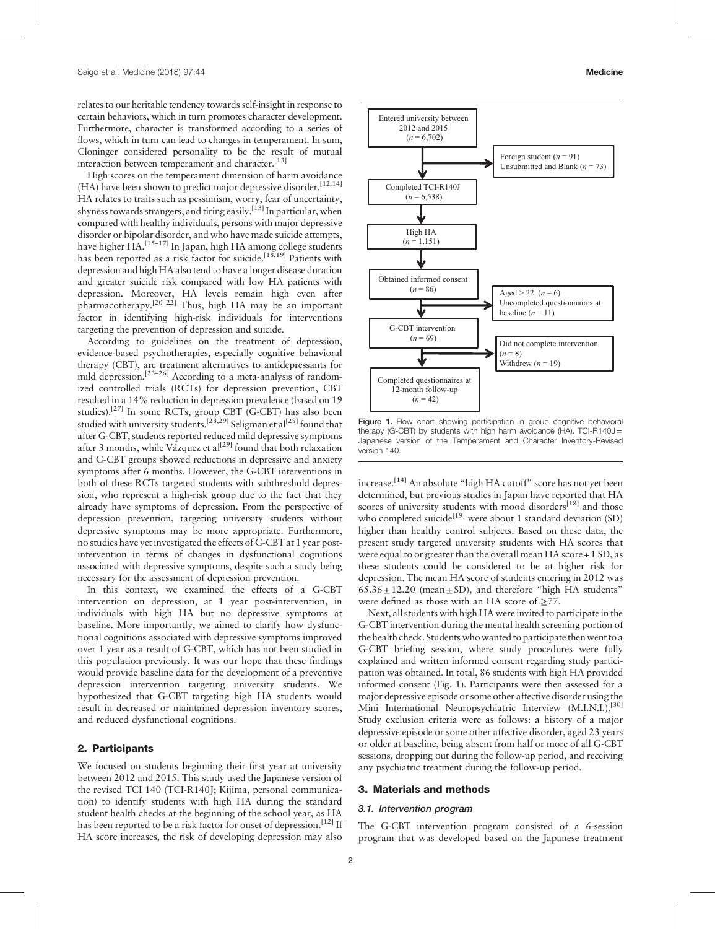relates to our heritable tendency towards self-insight in response to certain behaviors, which in turn promotes character development. Furthermore, character is transformed according to a series of flows, which in turn can lead to changes in temperament. In sum, Cloninger considered personality to be the result of mutual interaction between temperament and character.<sup>[13]</sup>

High scores on the temperament dimension of harm avoidance (HA) have been shown to predict major depressive disorder.<sup>[12,14]</sup> HA relates to traits such as pessimism, worry, fear of uncertainty, shyness towards strangers, and tiring easily.<sup>[13]</sup> In particular, when compared with healthy individuals, persons with major depressive disorder or bipolar disorder, and who have made suicide attempts, have higher HA.<sup>[15-17]</sup> In Japan, high HA among college students has been reported as a risk factor for suicide.<sup>[18,19]</sup> Patients with depression and high HA also tend to have a longer disease duration and greater suicide risk compared with low HA patients with depression. Moreover, HA levels remain high even after pharmacotherapy.[20–22] Thus, high HA may be an important factor in identifying high-risk individuals for interventions targeting the prevention of depression and suicide.

According to guidelines on the treatment of depression, evidence-based psychotherapies, especially cognitive behavioral therapy (CBT), are treatment alternatives to antidepressants for mild depression.<sup>[23–26]</sup> According to a meta-analysis of randomized controlled trials (RCTs) for depression prevention, CBT resulted in a 14% reduction in depression prevalence (based on 19 studies).<sup>[27]</sup> In some RCTs, group CBT (G-CBT) has also been studied with university students.<sup>[28,29]</sup> Seligman et al<sup>[28]</sup> found that after G-CBT, students reported reduced mild depressive symptoms after 3 months, while Vazquez et al<sup>[29]</sup> found that both relaxation and G-CBT groups showed reductions in depressive and anxiety symptoms after 6 months. However, the G-CBT interventions in both of these RCTs targeted students with subthreshold depression, who represent a high-risk group due to the fact that they already have symptoms of depression. From the perspective of depression prevention, targeting university students without depressive symptoms may be more appropriate. Furthermore, no studies have yet investigated the effects of G-CBT at 1 year postintervention in terms of changes in dysfunctional cognitions associated with depressive symptoms, despite such a study being necessary for the assessment of depression prevention.

In this context, we examined the effects of a G-CBT intervention on depression, at 1 year post-intervention, in individuals with high HA but no depressive symptoms at baseline. More importantly, we aimed to clarify how dysfunctional cognitions associated with depressive symptoms improved over 1 year as a result of G-CBT, which has not been studied in this population previously. It was our hope that these findings would provide baseline data for the development of a preventive depression intervention targeting university students. We hypothesized that G-CBT targeting high HA students would result in decreased or maintained depression inventory scores, and reduced dysfunctional cognitions.

### 2. Participants

We focused on students beginning their first year at university between 2012 and 2015. This study used the Japanese version of the revised TCI 140 (TCI-R140J; Kijima, personal communication) to identify students with high HA during the standard student health checks at the beginning of the school year, as HA has been reported to be a risk factor for onset of depression.<sup>[12]</sup> If HA score increases, the risk of developing depression may also



Figure 1. Flow chart showing participation in group cognitive behavioral therapy (G-CBT) by students with high harm avoidance (HA). TCI-R140J = Japanese version of the Temperament and Character Inventory-Revised version 140.

increase.<sup>[14]</sup> An absolute "high HA cutoff" score has not yet been determined, but previous studies in Japan have reported that HA scores of university students with mood disorders<sup>[18]</sup> and those who completed suicide<sup>[19]</sup> were about 1 standard deviation (SD) higher than healthy control subjects. Based on these data, the present study targeted university students with HA scores that were equal to or greater than the overall mean HA score + 1 SD, as these students could be considered to be at higher risk for depression. The mean HA score of students entering in 2012 was  $65.36 \pm 12.20$  (mean $\pm$ SD), and therefore "high HA students" were defined as those with an HA score of  $\geq$ 77.

Next, all students with high HA were invited to participate in the G-CBT intervention during the mental health screening portion of the health check. Students who wanted to participate then went to a G-CBT briefing session, where study procedures were fully explained and written informed consent regarding study participation was obtained. In total, 86 students with high HA provided informed consent (Fig. 1). Participants were then assessed for a major depressive episode or some other affective disorder using the Mini International Neuropsychiatric Interview (M.I.N.I.).<sup>[30]</sup> Study exclusion criteria were as follows: a history of a major depressive episode or some other affective disorder, aged 23 years or older at baseline, being absent from half or more of all G-CBT sessions, dropping out during the follow-up period, and receiving any psychiatric treatment during the follow-up period.

# 3. Materials and methods

#### 3.1. Intervention program

The G-CBT intervention program consisted of a 6-session program that was developed based on the Japanese treatment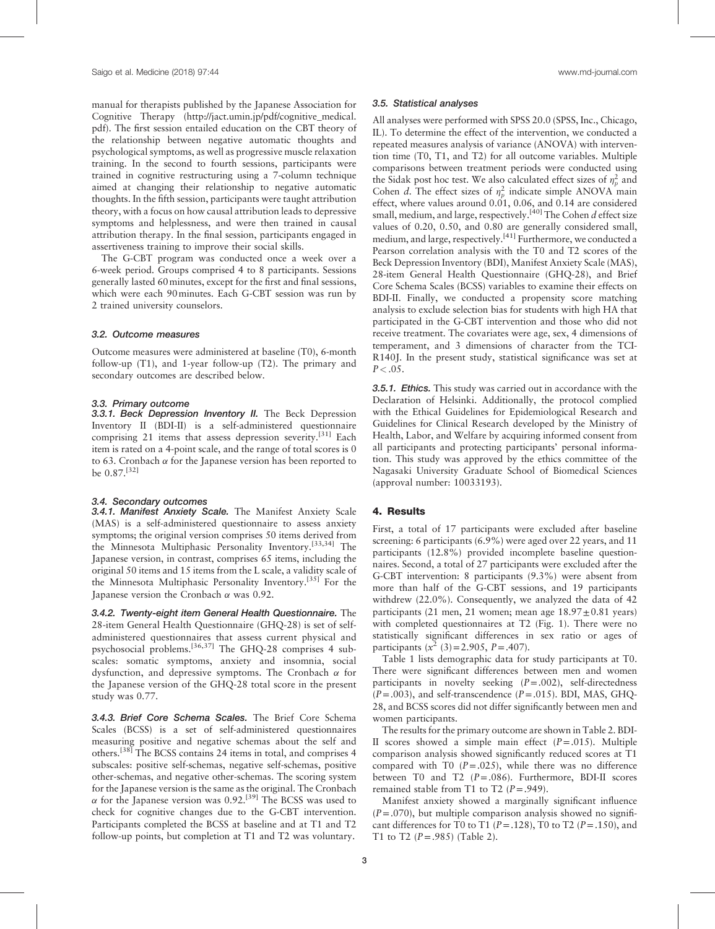manual for therapists published by the Japanese Association for Cognitive Therapy ([http://jact.umin.jp/pdf/cognitive\\_medical.](http://jact.umin.jp/pdf/cognitive_medical.pdf) [pdf\)](http://jact.umin.jp/pdf/cognitive_medical.pdf). The first session entailed education on the CBT theory of the relationship between negative automatic thoughts and psychological symptoms, as well as progressive muscle relaxation training. In the second to fourth sessions, participants were trained in cognitive restructuring using a 7-column technique aimed at changing their relationship to negative automatic thoughts. In the fifth session, participants were taught attribution theory, with a focus on how causal attribution leads to depressive symptoms and helplessness, and were then trained in causal attribution therapy. In the final session, participants engaged in assertiveness training to improve their social skills.

The G-CBT program was conducted once a week over a 6-week period. Groups comprised 4 to 8 participants. Sessions generally lasted 60minutes, except for the first and final sessions, which were each 90minutes. Each G-CBT session was run by 2 trained university counselors.

#### 3.2. Outcome measures

Outcome measures were administered at baseline (T0), 6-month follow-up (T1), and 1-year follow-up (T2). The primary and secondary outcomes are described below.

# 3.3. Primary outcome

3.3.1. Beck Depression Inventory II. The Beck Depression Inventory II (BDI-II) is a self-administered questionnaire comprising 21 items that assess depression severity.<sup>[31]</sup> Each item is rated on a 4-point scale, and the range of total scores is 0 to 63. Cronbach  $\alpha$  for the Japanese version has been reported to be 0.87.[32]

#### 3.4. Secondary outcomes

3.4.1. Manifest Anxiety Scale. The Manifest Anxiety Scale (MAS) is a self-administered questionnaire to assess anxiety symptoms; the original version comprises 50 items derived from the Minnesota Multiphasic Personality Inventory.[33,34] The Japanese version, in contrast, comprises 65 items, including the original 50 items and 15 items from the L scale, a validity scale of the Minnesota Multiphasic Personality Inventory.[35] For the Japanese version the Cronbach  $\alpha$  was 0.92.

3.4.2. Twenty-eight item General Health Questionnaire. The 28-item General Health Questionnaire (GHQ-28) is set of selfadministered questionnaires that assess current physical and psychosocial problems.[36,37] The GHQ-28 comprises 4 subscales: somatic symptoms, anxiety and insomnia, social dysfunction, and depressive symptoms. The Cronbach  $\alpha$  for the Japanese version of the GHQ-28 total score in the present study was 0.77.

3.4.3. Brief Core Schema Scales. The Brief Core Schema Scales (BCSS) is a set of self-administered questionnaires measuring positive and negative schemas about the self and others.<sup>[38]</sup> The BCSS contains 24 items in total, and comprises 4 subscales: positive self-schemas, negative self-schemas, positive other-schemas, and negative other-schemas. The scoring system for the Japanese version is the same as the original. The Cronbach  $\alpha$  for the Japanese version was 0.92.<sup>[39]</sup> The BCSS was used to check for cognitive changes due to the G-CBT intervention. Participants completed the BCSS at baseline and at T1 and T2 follow-up points, but completion at T1 and T2 was voluntary.

#### 3.5. Statistical analyses

All analyses were performed with SPSS 20.0 (SPSS, Inc., Chicago, IL). To determine the effect of the intervention, we conducted a repeated measures analysis of variance (ANOVA) with intervention time (T0, T1, and T2) for all outcome variables. Multiple comparisons between treatment periods were conducted using the Sidak post hoc test. We also calculated effect sizes of  $\eta_p^2$  and Cohen *d*. The effect sizes of  $\eta_p^2$  indicate simple ANOVA main effect, where values around  $0.01$ ,  $0.06$ , and  $0.14$  are considered small, medium, and large, respectively.<sup>[40]</sup> The Cohen  $d$  effect size values of 0.20, 0.50, and 0.80 are generally considered small, medium, and large, respectively.<sup>[41]</sup> Furthermore, we conducted a Pearson correlation analysis with the T0 and T2 scores of the Beck Depression Inventory (BDI), Manifest Anxiety Scale (MAS), 28-item General Health Questionnaire (GHQ-28), and Brief Core Schema Scales (BCSS) variables to examine their effects on BDI-II. Finally, we conducted a propensity score matching analysis to exclude selection bias for students with high HA that participated in the G-CBT intervention and those who did not receive treatment. The covariates were age, sex, 4 dimensions of temperament, and 3 dimensions of character from the TCI-R140J. In the present study, statistical significance was set at  $P < .05$ .

**3.5.1. Ethics.** This study was carried out in accordance with the Declaration of Helsinki. Additionally, the protocol complied with the Ethical Guidelines for Epidemiological Research and Guidelines for Clinical Research developed by the Ministry of Health, Labor, and Welfare by acquiring informed consent from all participants and protecting participants' personal information. This study was approved by the ethics committee of the Nagasaki University Graduate School of Biomedical Sciences (approval number: 10033193).

#### 4. Results

First, a total of 17 participants were excluded after baseline screening: 6 participants (6.9%) were aged over 22 years, and 11 participants (12.8%) provided incomplete baseline questionnaires. Second, a total of 27 participants were excluded after the G-CBT intervention: 8 participants (9.3%) were absent from more than half of the G-CBT sessions, and 19 participants withdrew (22.0%). Consequently, we analyzed the data of 42 participants (21 men, 21 women; mean age  $18.97 \pm 0.81$  years) with completed questionnaires at T2 (Fig. 1). There were no statistically significant differences in sex ratio or ages of participants  $(x^2 (3)=2.905, P=.407)$ .

Table 1 lists demographic data for study participants at T0. There were significant differences between men and women participants in novelty seeking  $(P=.002)$ , self-directedness  $(P=.003)$ , and self-transcendence  $(P=.015)$ . BDI, MAS, GHO-28, and BCSS scores did not differ significantly between men and women participants.

The results for the primary outcome are shown in Table 2. BDI-II scores showed a simple main effect  $(P=.015)$ . Multiple comparison analysis showed significantly reduced scores at T1 compared with T0  $(P=.025)$ , while there was no difference between T0 and T2  $(P=.086)$ . Furthermore, BDI-II scores remained stable from T1 to T2  $(P=.949)$ .

Manifest anxiety showed a marginally significant influence  $(P=.070)$ , but multiple comparison analysis showed no significant differences for T0 to T1 ( $P = .128$ ), T0 to T2 ( $P = .150$ ), and T1 to T2  $(P=.985)$  (Table 2).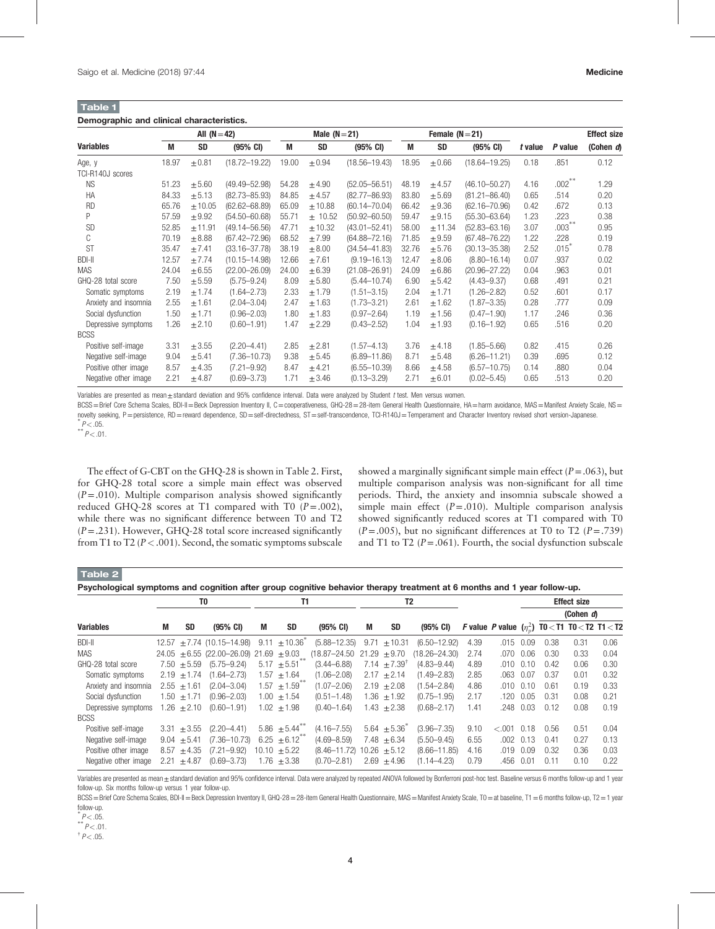Table 1

|                      | All $(N=42)$ |            |                    | Male $(N=21)$ |            |                    |       | Female $(N=21)$ |                    |         |           | <b>Effect size</b> |  |
|----------------------|--------------|------------|--------------------|---------------|------------|--------------------|-------|-----------------|--------------------|---------|-----------|--------------------|--|
| <b>Variables</b>     | M            | <b>SD</b>  | $(95% \text{ CI})$ | M             | <b>SD</b>  | $(95% \text{ CI})$ | M     | <b>SD</b>       | $(95% \text{ CI})$ | t value | P value   | (Cohen d)          |  |
| Age, y               | 18.97        | $\pm 0.81$ | $(18.72 - 19.22)$  | 19.00         | $\pm 0.94$ | $(18.56 - 19.43)$  | 18.95 | $\pm 0.66$      | $(18.64 - 19.25)$  | 0.18    | .851      | 0.12               |  |
| TCI-R140J scores     |              |            |                    |               |            |                    |       |                 |                    |         |           |                    |  |
| <b>NS</b>            | 51.23        | $\pm 5.60$ | $(49.49 - 52.98)$  | 54.28         | ±4.90      | $(52.05 - 56.51)$  | 48.19 | ±4.57           | $(46.10 - 50.27)$  | 4.16    | $.002***$ | 1.29               |  |
| HA                   | 84.33        | ± 5.13     | $(82.73 - 85.93)$  | 84.85         | ± 4.57     | $(82.77 - 86.93)$  | 83.80 | $\pm 5.69$      | $(81.21 - 86.40)$  | 0.65    | .514      | 0.20               |  |
| <b>RD</b>            | 65.76        | ±10.05     | $(62.62 - 68.89)$  | 65.09         | ±10.88     | $(60.14 - 70.04)$  | 66.42 | $\pm 9.36$      | $(62.16 - 70.96)$  | 0.42    | .672      | 0.13               |  |
| Ρ                    | 57.59        | $\pm 9.92$ | $(54.50 - 60.68)$  | 55.71         | $±$ 10.52  | $(50.92 - 60.50)$  | 59.47 | $\pm 9.15$      | $(55.30 - 63.64)$  | 1.23    | .223      | 0.38               |  |
| <b>SD</b>            | 52.85        | ± 11.91    | $(49.14 - 56.56)$  | 47.71         | $+10.32$   | $(43.01 - 52.41)$  | 58.00 | $+11.34$        | $(52.83 - 63.16)$  | 3.07    | $.003***$ | 0.95               |  |
| C                    | 70.19        | $\pm 8.88$ | $(67.42 - 72.96)$  | 68.52         | ±7.99      | $(64.88 - 72.16)$  | 71.85 | ±9.59           | $(67.48 - 76.22)$  | 1.22    | .228      | 0.19               |  |
| <b>ST</b>            | 35.47        | ±7.41      | $(33.16 - 37.78)$  | 38.19         | $\pm 8.00$ | $(34.54 - 41.83)$  | 32.76 | $\pm$ 5.76      | $(30.13 - 35.38)$  | 2.52    | .015      | 0.78               |  |
| <b>BDI-II</b>        | 12.57        | ±7.74      | $(10.15 - 14.98)$  | 12.66         | ±7.61      | $(9.19 - 16.13)$   | 12.47 | $\pm 8.06$      | $(8.80 - 16.14)$   | 0.07    | .937      | 0.02               |  |
| <b>MAS</b>           | 24.04        | $\pm 6.55$ | $(22.00 - 26.09)$  | 24.00         | $\pm 6.39$ | $(21.08 - 26.91)$  | 24.09 | $\pm 6.86$      | $(20.96 - 27.22)$  | 0.04    | .963      | 0.01               |  |
| GHQ-28 total score   | 7.50         | $+5.59$    | $(5.75 - 9.24)$    | 8.09          | ± 5.80     | $(5.44 - 10.74)$   | 6.90  | $+5.42$         | $(4.43 - 9.37)$    | 0.68    | .491      | 0.21               |  |
| Somatic symptoms     | 2.19         | ± 1.74     | $(1.64 - 2.73)$    | 2.33          | ±1.79      | $(1.51 - 3.15)$    | 2.04  | ± 1.71          | $(1.26 - 2.82)$    | 0.52    | .601      | 0.17               |  |
| Anxiety and insomnia | 2.55         | ±1.61      | $(2.04 - 3.04)$    | 2.47          | ±1.63      | $(1.73 - 3.21)$    | 2.61  | $+1.62$         | $(1.87 - 3.35)$    | 0.28    | .777      | 0.09               |  |
| Social dysfunction   | 1.50         | ± 1.71     | $(0.96 - 2.03)$    | 1.80          | ±1.83      | $(0.97 - 2.64)$    | 1.19  | ±1.56           | $(0.47 - 1.90)$    | 1.17    | .246      | 0.36               |  |
| Depressive symptoms  | 1.26         | ±2.10      | $(0.60 - 1.91)$    | 1.47          | ±2.29      | $(0.43 - 2.52)$    | 1.04  | ±1.93           | $(0.16 - 1.92)$    | 0.65    | .516      | 0.20               |  |
| <b>BCSS</b>          |              |            |                    |               |            |                    |       |                 |                    |         |           |                    |  |
| Positive self-image  | 3.31         | $\pm 3.55$ | $(2.20 - 4.41)$    | 2.85          | ±2.81      | $(1.57 - 4.13)$    | 3.76  | $\pm$ 4.18      | $(1.85 - 5.66)$    | 0.82    | .415      | 0.26               |  |
| Negative self-image  | 9.04         | ± 5.41     | $(7.36 - 10.73)$   | 9.38          | ± 5.45     | $(6.89 - 11.86)$   | 8.71  | ± 5.48          | $(6.26 - 11.21)$   | 0.39    | .695      | 0.12               |  |
| Positive other image | 8.57         | ±4.35      | $(7.21 - 9.92)$    | 8.47          | ± 4.21     | $(6.55 - 10.39)$   | 8.66  | ±4.58           | $(6.57 - 10.75)$   | 0.14    | .880      | 0.04               |  |
| Negative other image | 2.21         | ±4.87      | $(0.69 - 3.73)$    | 1.71          | ± 3.46     | $(0.13 - 3.29)$    | 2.71  | $\pm 6.01$      | $(0.02 - 5.45)$    | 0.65    | .513      | 0.20               |  |

Variables are presented as mean±standard deviation and 95% confidence interval. Data were analyzed by Student t test. Men versus women.

BCSS=Brief Core Schema Scales, BDI-II=Beck Depression Inventory II, C=cooperativeness, GHQ-28=28-item General Health Questionnaire, HA=harm avoidance, MAS=Manifest Anxiety Scale, NS= novelty seeking, P=persistence, RD=reward dependence, SD=self-directedness, ST=self-transcendence, TCI-R140J=Temperament and Character Inventory revised short version-Japanese. <sup>\*</sup> P<.05.

 $P < .05$ .<br>\*\*  $P < .01$ .

The effect of G-CBT on the GHQ-28 is shown in Table 2. First, for GHQ-28 total score a simple main effect was observed  $(P=.010)$ . Multiple comparison analysis showed significantly reduced GHQ-28 scores at T1 compared with T0  $(P=.002)$ , while there was no significant difference between T0 and T2  $(P=.231)$ . However, GHQ-28 total score increased significantly from T1 to T2 ( $P < .001$ ). Second, the somatic symptoms subscale showed a marginally significant simple main effect  $(P=.063)$ , but multiple comparison analysis was non-significant for all time periods. Third, the anxiety and insomnia subscale showed a simple main effect  $(P=.010)$ . Multiple comparison analysis showed significantly reduced scores at T1 compared with T0  $(P=.005)$ , but no significant differences at T0 to T2  $(P=.739)$ and T1 to T2 ( $P = .061$ ). Fourth, the social dysfunction subscale

#### Table 2

Psychological symptoms and cognition after group cognitive behavior therapy treatment at 6 months and 1 year follow-up.

|                      | T0   |                 |                                                 | Τ1   |                       |                       | T <sub>2</sub> |                            |                     |      |         |                   |      | <b>Effect size</b>                                                 |      |
|----------------------|------|-----------------|-------------------------------------------------|------|-----------------------|-----------------------|----------------|----------------------------|---------------------|------|---------|-------------------|------|--------------------------------------------------------------------|------|
|                      |      |                 |                                                 |      |                       |                       |                |                            |                     |      |         |                   |      | (Cohen d)                                                          |      |
| <b>Variables</b>     | M    | SD              | $(95% \text{ CI})$                              | M    | <b>SD</b>             | $(95\% \text{ Cl})$   | М              | <b>SD</b>                  | $(95\% \text{ Cl})$ |      |         |                   |      | <i>F</i> value <i>P</i> value $(\eta_n^2)$ TO < T1 TO < T2 T1 < T2 |      |
| BDI-II               |      |                 | $12.57 + 7.74$ (10.15-14.98)                    | 9.11 | $\pm 10.36^{\degree}$ | $(5.88 - 12.35)$ 9.71 |                | ± 10.31                    | $(6.50 - 12.92)$    | 4.39 | .015    | 0.09              | 0.38 | 0.31                                                               | 0.06 |
| <b>MAS</b>           |      |                 | $24.05 \pm 6.55$ (22.00-26.09) 21.69 $\pm$ 9.03 |      |                       | (18.87-24.50          |                | $21.29 + 9.70$             | $(18.26 - 24.30)$   | 2.74 | .070    | 0.06              | 0.30 | 0.33                                                               | 0.04 |
| GHQ-28 total score   |      | $7.50 + 5.59$   | $(5.75 - 9.24)$                                 |      | $5.17 + 5.51$         | $(3.44 - 6.88)$       |                | $7.14 + 7.39$ <sup>T</sup> | $(4.83 - 9.44)$     | 4.89 |         | $.010 \quad 0.10$ | 0.42 | 0.06                                                               | 0.30 |
| Somatic symptoms     |      | 2.19 $\pm$ 1.74 | $(1.64 - 2.73)$                                 | 1.57 | ±1.64                 | $(1.06 - 2.08)$       | 2.17           | ± 2.14                     | $(1.49 - 2.83)$     | 2.85 | .063    | 0.07              | 0.37 | 0.01                                                               | 0.32 |
| Anxiety and insomnia |      | $2.55 + 1.61$   | $(2.04 - 3.04)$                                 |      | $1.57 + 1.59$         | $(1.07 - 2.06)$       |                | $2.19 + 2.08$              | $(1.54 - 2.84)$     | 4.86 |         | $.010 \quad 0.10$ | 0.61 | 0.19                                                               | 0.33 |
| Social dysfunction   | 1.50 | $\pm$ 1.71      | $(0.96 - 2.03)$                                 |      | $1.00 \pm 1.54$       | $(0.51 - 1.48)$       |                | 1.36 $\pm$ 1.92            | $(0.75 - 1.95)$     | 2.17 | .120    | 0.05              | 0.31 | 0.08                                                               | 0.21 |
| Depressive symptoms  |      | $1.26 + 2.10$   | $(0.60 - 1.91)$                                 |      | $1.02 + 1.98$         | $(0.40 - 1.64)$       |                | 1.43 $\pm 2.38$            | $(0.68 - 2.17)$     | 1.41 | .248    | 0.03              | 0.12 | 0.08                                                               | 0.19 |
| <b>BCSS</b>          |      |                 |                                                 |      |                       |                       |                |                            |                     |      |         |                   |      |                                                                    |      |
| Positive self-image  | 3.31 | $+3.55$         | $(2.20 - 4.41)$                                 |      | $5.86 \pm 5.44$       | $(4.16 - 7.55)$       |                | $5.64 + 5.36$              | $(3.96 - 7.35)$     | 9.10 | $-.001$ | 0.18              | 0.56 | 0.51                                                               | 0.04 |
| Negative self-image  |      | $9.04 + 5.41$   | $(7.36 - 10.73)$                                |      | $6.25 + 6.12$         | $(4.69 - 8.59)$       | 7.48           | $\pm 6.34$                 | $(5.50 - 9.45)$     | 6.55 | .002    | 0.13              | 0.41 | 0.27                                                               | 0.13 |
| Positive other image | 8.57 | ±4.35           | $(7.21 - 9.92)$                                 |      | $10.10 + 5.22$        | $(8.46 - 11.72)$      |                | $10.26 \pm 5.12$           | $(8.66 - 11.85)$    | 4.16 | .019    | 0.09              | 0.32 | 0.36                                                               | 0.03 |
| Negative other image | 2.21 | $+4.87$         | $(0.69 - 3.73)$                                 |      | $1.76 + 3.38$         | $(0.70 - 2.81)$       |                | $2.69 \pm 4.96$            | $(1.14 - 4.23)$     | 0.79 | .456    | 0.01              | 0.11 | 0.10                                                               | 0.22 |

Variables are presented as mean ± standard deviation and 95% confidence interval. Data were analyzed by repeated ANOVA followed by Bonferroni post-hoc test. Baseline versus 6 months follow-up and 1 year follow-up. Six months follow-up versus 1 year follow-up.

BCSS=Brief Core Schema Scales, BDI-II=Beck Depression Inventory II, GHQ-28=28-item General Health Questionnaire, MAS=Manifest Anxiety Scale, T0=at baseline, T1=6 months follow-up, T2=1 year follow-up.

 $P^*P$  < .05.  $*$   $P$  < .01.

 $^{\dagger}P < .05$ .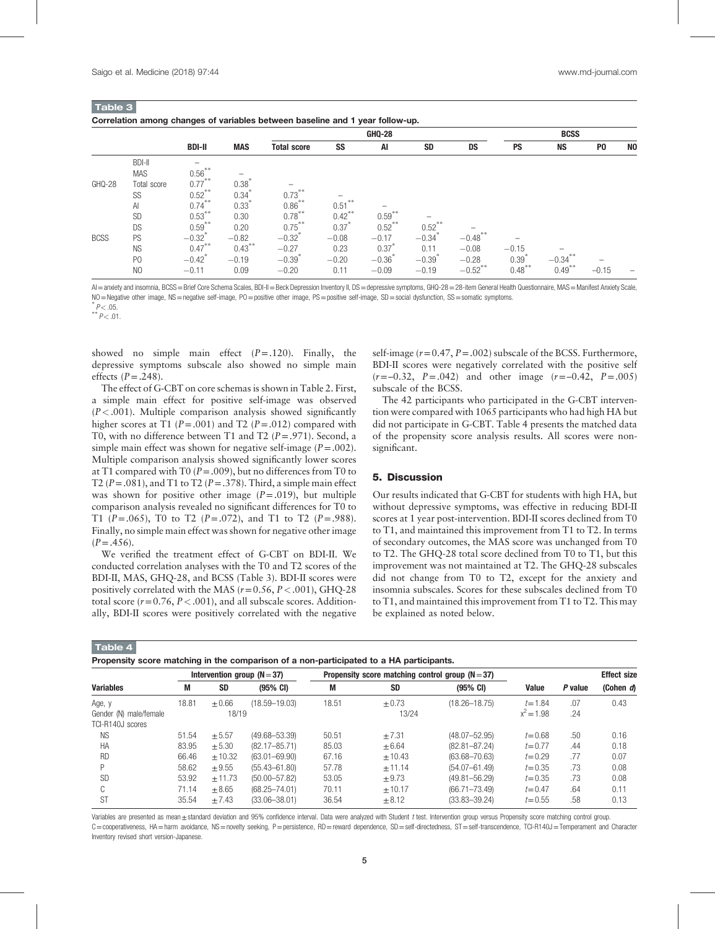| <b>Table 3</b>                                                                |  |  |  |  |  |
|-------------------------------------------------------------------------------|--|--|--|--|--|
| Correlation among changes of variables between baseline and 1 year follow-up. |  |  |  |  |  |

|             |                |                                                    |                   |                      |           | <b>GHQ-28</b>        |           |                       |                   | <b>BCSS</b> |                |                |
|-------------|----------------|----------------------------------------------------|-------------------|----------------------|-----------|----------------------|-----------|-----------------------|-------------------|-------------|----------------|----------------|
|             |                | <b>BDI-II</b>                                      | <b>MAS</b>        | <b>Total score</b>   | SS        | AI                   | <b>SD</b> | DS                    | PS                | <b>NS</b>   | P <sub>0</sub> | N <sub>0</sub> |
|             | <b>BDI-II</b>  | $\overline{\phantom{0}}$                           |                   |                      |           |                      |           |                       |                   |             |                |                |
|             | <b>MAS</b>     | $0.56***$                                          |                   |                      |           |                      |           |                       |                   |             |                |                |
| GHQ-28      | Total score    | $0.77***$                                          | $0.38*$           |                      |           |                      |           |                       |                   |             |                |                |
|             | SS             | $0.52$ **                                          | 0.34              | $0.73***$            |           |                      |           |                       |                   |             |                |                |
|             | Al             | $0.74***$                                          | $0.33*$           | $0.86***$            | 0.51      |                      |           |                       |                   |             |                |                |
|             | SD             | $0.53***$                                          | 0.30              | $0.78***$            | $0.42$ ** | $0.59***$            |           |                       |                   |             |                |                |
|             | <b>DS</b>      | $0.59***$                                          | 0.20              | $0.75***$            | 0.37      | $0.52***$            | $0.52***$ |                       |                   |             |                |                |
| <b>BCSS</b> | PS             | $\begin{matrix} -0.32^* \\ 0.47 \end{matrix}^{**}$ | $-0.82$<br>0.43** | $-0.32$ <sup>*</sup> | $-0.08$   | $-0.17$              | $-0.34$   | $-0.48$ **            |                   |             |                |                |
|             | <b>NS</b>      |                                                    |                   | $-0.27$              | 0.23      | 0.37                 | 0.11      | $-0.08$               | $-0.15$           |             |                |                |
|             | P <sub>0</sub> | $-0.42$ <sup>*</sup>                               | $-0.19$           | $-0.39$              | $-0.20$   | $-0.36$ <sup>*</sup> | $-0.39$   | $-0.28$               | $0.39^{^{\circ}}$ | $-0.34***$  |                |                |
|             | N <sub>O</sub> | $-0.11$                                            | 0.09              | $-0.20$              | 0.11      | $-0.09$              | $-0.19$   | $-0.52$ <sup>**</sup> | $0.48$ **         | $0.49***$   | $-0.15$        |                |

AI = anxiety and insomnia, BCSS = Brief Core Schema Scales, BDI-II = Beck Depression Inventory II, DS = depressive symptoms, GHQ-28 = 28-item General Health Questionnaire, MAS = Manifest Anxiety Scale, NO=Negative other image, NS=negative self-image, PO=positive other image, PS=positive self-image, SD=social dysfunction, SS=somatic symptoms.

 $P < .05$ .<br>\*\*  $P < .01$ .

showed no simple main effect  $(P=.120)$ . Finally, the depressive symptoms subscale also showed no simple main effects  $(P=.248)$ .

The effect of G-CBT on core schemas is shown in Table 2. First, a simple main effect for positive self-image was observed  $(P < .001)$ . Multiple comparison analysis showed significantly higher scores at T1 ( $P = .001$ ) and T2 ( $P = .012$ ) compared with T0, with no difference between T1 and T2  $(P = .971)$ . Second, a simple main effect was shown for negative self-image  $(P=.002)$ . Multiple comparison analysis showed significantly lower scores at T1 compared with T0 ( $P = .009$ ), but no differences from T0 to T2 ( $P = .081$ ), and T1 to T2 ( $P = .378$ ). Third, a simple main effect was shown for positive other image  $(P=.019)$ , but multiple comparison analysis revealed no significant differences for T0 to T1 ( $P = .065$ ), T0 to T2 ( $P = .072$ ), and T1 to T2 ( $P = .988$ ). Finally, no simple main effect was shown for negative other image  $(P=.456).$ 

We verified the treatment effect of G-CBT on BDI-II. We conducted correlation analyses with the T0 and T2 scores of the BDI-II, MAS, GHQ-28, and BCSS (Table 3). BDI-II scores were positively correlated with the MAS ( $r=0.56$ ,  $P < .001$ ), GHQ-28 total score  $(r=0.76, P<.001)$ , and all subscale scores. Additionally, BDI-II scores were positively correlated with the negative self-image  $(r=0.47, P=.002)$  subscale of the BCSS. Furthermore, BDI-II scores were negatively correlated with the positive self  $(r=-0.32, P=.042)$  and other image  $(r=-0.42, P=.005)$ subscale of the BCSS.

The 42 participants who participated in the G-CBT intervention were compared with 1065 participants who had high HA but did not participate in G-CBT. Table 4 presents the matched data of the propensity score analysis results. All scores were nonsignificant.

# 5. Discussion

Our results indicated that G-CBT for students with high HA, but without depressive symptoms, was effective in reducing BDI-II scores at 1 year post-intervention. BDI-II scores declined from T0 to T1, and maintained this improvement from T1 to T2. In terms of secondary outcomes, the MAS score was unchanged from T0 to T2. The GHQ-28 total score declined from T0 to T1, but this improvement was not maintained at T2. The GHQ-28 subscales did not change from T0 to T2, except for the anxiety and insomnia subscales. Scores for these subscales declined from T0 to T1, and maintained this improvement from T1 to T2. This may be explained as noted below.

| Propensity score matching in the comparison of a non-participated to a HA participants. |
|-----------------------------------------------------------------------------------------|
|-----------------------------------------------------------------------------------------|

|                        | Intervention group ( $N = 37$ ) |            |                    |       | Propensity score matching control group $(N = 37)$ |                    |              | <b>Effect size</b> |           |
|------------------------|---------------------------------|------------|--------------------|-------|----------------------------------------------------|--------------------|--------------|--------------------|-----------|
| <b>Variables</b>       | M                               | <b>SD</b>  | $(95% \text{ CI})$ | M     | <b>SD</b>                                          | $(95% \text{ CI})$ | <b>Value</b> | P value            | (Cohen d) |
| Age, y                 | 18.81                           | $+0.66$    | $(18.59 - 19.03)$  | 18.51 | $+0.73$                                            | $(18.26 - 18.75)$  | $t = 1.84$   | .07                | 0.43      |
| Gender (N) male/female |                                 | 18/19      |                    |       | 13/24                                              |                    | $x^2 = 1.98$ | .24                |           |
| TCI-R140J scores       |                                 |            |                    |       |                                                    |                    |              |                    |           |
| <b>NS</b>              | 51.54                           | $+5.57$    | $(49.68 - 53.39)$  | 50.51 | $+7.31$                                            | $(48.07 - 52.95)$  | $t = 0.68$   | .50                | 0.16      |
| HA                     | 83.95                           | $\pm 5.30$ | $(82.17 - 85.71)$  | 85.03 | $+6.64$                                            | $(82.81 - 87.24)$  | $t = 0.77$   | .44                | 0.18      |
| <b>RD</b>              | 66.46                           | ± 10.32    | $(63.01 - 69.90)$  | 67.16 | $+10.43$                                           | $(63.68 - 70.63)$  | $t = 0.29$   | .77                | 0.07      |
|                        | 58.62                           | $+9.55$    | $(55.43 - 61.80)$  | 57.78 | $+11.14$                                           | $(54.07 - 61.49)$  | $t = 0.35$   | .73                | 0.08      |
| <b>SD</b>              | 53.92                           | $+11.73$   | $(50.00 - 57.82)$  | 53.05 | $+9.73$                                            | $(49.81 - 56.29)$  | $t = 0.35$   | .73                | 0.08      |
| C                      | 71.14                           | $+8.65$    | $(68.25 - 74.01)$  | 70.11 | $+10.17$                                           | $(66.71 - 73.49)$  | $t = 0.47$   | .64                | 0.11      |
| <b>ST</b>              | 35.54                           | $+7.43$    | $(33.06 - 38.01)$  | 36.54 | ±8.12                                              | $(33.83 - 39.24)$  | $t = 0.55$   | .58                | 0.13      |

Variables are presented as mean±standard deviation and 95% confidence interval. Data were analyzed with Student t test. Intervention group versus Propensity score matching control group. C=cooperativeness, HA=harm avoidance, NS=novelty seeking, P=persistence, RD=reward dependence, SD=self-directedness, ST=self-transcendence, TCl-R140J=Temperament and Character Inventory revised short version-Japanese.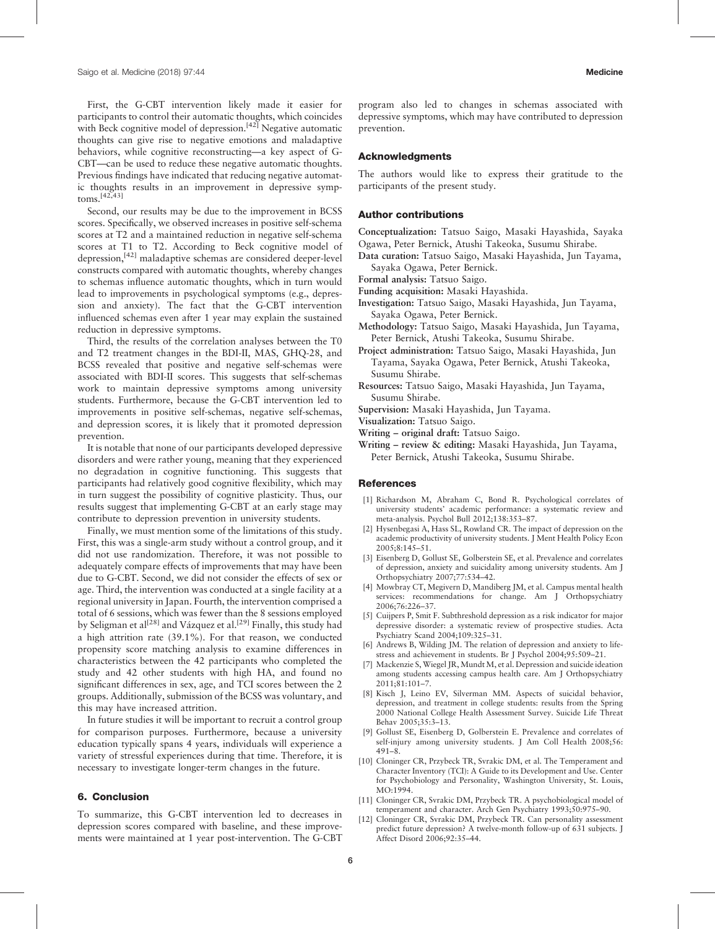First, the G-CBT intervention likely made it easier for participants to control their automatic thoughts, which coincides with Beck cognitive model of depression.<sup>[42]</sup> Negative automatic thoughts can give rise to negative emotions and maladaptive behaviors, while cognitive reconstructing—a key aspect of G-CBT—can be used to reduce these negative automatic thoughts. Previous findings have indicated that reducing negative automatic thoughts results in an improvement in depressive symptoms.[42,43]

Second, our results may be due to the improvement in BCSS scores. Specifically, we observed increases in positive self-schema scores at T2 and a maintained reduction in negative self-schema scores at T1 to T2. According to Beck cognitive model of depression,[42] maladaptive schemas are considered deeper-level constructs compared with automatic thoughts, whereby changes to schemas influence automatic thoughts, which in turn would lead to improvements in psychological symptoms (e.g., depression and anxiety). The fact that the G-CBT intervention influenced schemas even after 1 year may explain the sustained reduction in depressive symptoms.

Third, the results of the correlation analyses between the T0 and T2 treatment changes in the BDI-II, MAS, GHQ-28, and BCSS revealed that positive and negative self-schemas were associated with BDI-II scores. This suggests that self-schemas work to maintain depressive symptoms among university students. Furthermore, because the G-CBT intervention led to improvements in positive self-schemas, negative self-schemas, and depression scores, it is likely that it promoted depression prevention.

It is notable that none of our participants developed depressive disorders and were rather young, meaning that they experienced no degradation in cognitive functioning. This suggests that participants had relatively good cognitive flexibility, which may in turn suggest the possibility of cognitive plasticity. Thus, our results suggest that implementing G-CBT at an early stage may contribute to depression prevention in university students.

Finally, we must mention some of the limitations of this study. First, this was a single-arm study without a control group, and it did not use randomization. Therefore, it was not possible to adequately compare effects of improvements that may have been due to G-CBT. Second, we did not consider the effects of sex or age. Third, the intervention was conducted at a single facility at a regional university in Japan. Fourth, the intervention comprised a total of 6 sessions, which was fewer than the 8 sessions employed by Seligman et al<sup>[28]</sup> and Vázquez et al.<sup>[29]</sup> Finally, this study had a high attrition rate (39.1%). For that reason, we conducted propensity score matching analysis to examine differences in characteristics between the 42 participants who completed the study and 42 other students with high HA, and found no significant differences in sex, age, and TCI scores between the 2 groups. Additionally, submission of the BCSS was voluntary, and this may have increased attrition.

In future studies it will be important to recruit a control group for comparison purposes. Furthermore, because a university education typically spans 4 years, individuals will experience a variety of stressful experiences during that time. Therefore, it is necessary to investigate longer-term changes in the future.

# 6. Conclusion

To summarize, this G-CBT intervention led to decreases in depression scores compared with baseline, and these improvements were maintained at 1 year post-intervention. The G-CBT program also led to changes in schemas associated with depressive symptoms, which may have contributed to depression prevention.

#### Acknowledgments

The authors would like to express their gratitude to the participants of the present study.

# Author contributions

Conceptualization: Tatsuo Saigo, Masaki Hayashida, Sayaka Ogawa, Peter Bernick, Atushi Takeoka, Susumu Shirabe.

- Data curation: Tatsuo Saigo, Masaki Hayashida, Jun Tayama, Sayaka Ogawa, Peter Bernick.
- Formal analysis: Tatsuo Saigo.
- Funding acquisition: Masaki Hayashida.
- Investigation: Tatsuo Saigo, Masaki Hayashida, Jun Tayama, Sayaka Ogawa, Peter Bernick.
- Methodology: Tatsuo Saigo, Masaki Hayashida, Jun Tayama, Peter Bernick, Atushi Takeoka, Susumu Shirabe.
- Project administration: Tatsuo Saigo, Masaki Hayashida, Jun Tayama, Sayaka Ogawa, Peter Bernick, Atushi Takeoka, Susumu Shirabe.
- Resources: Tatsuo Saigo, Masaki Hayashida, Jun Tayama, Susumu Shirabe.
- Supervision: Masaki Hayashida, Jun Tayama.
- Visualization: Tatsuo Saigo.
- Writing original draft: Tatsuo Saigo.
- Writing review & editing: Masaki Hayashida, Jun Tayama, Peter Bernick, Atushi Takeoka, Susumu Shirabe.

#### **References**

- [1] Richardson M, Abraham C, Bond R. Psychological correlates of university students' academic performance: a systematic review and meta-analysis. Psychol Bull 2012;138:353–87.
- [2] Hysenbegasi A, Hass SL, Rowland CR. The impact of depression on the academic productivity of university students. J Ment Health Policy Econ 2005;8:145–51.
- [3] Eisenberg D, Gollust SE, Golberstein SE, et al. Prevalence and correlates of depression, anxiety and suicidality among university students. Am J Orthopsychiatry 2007;77:534–42.
- [4] Mowbray CT, Megivern D, Mandiberg JM, et al. Campus mental health services: recommendations for change. Am J Orthopsychiatry 2006;76:226–37.
- [5] Cuijpers P, Smit F. Subthreshold depression as a risk indicator for major depressive disorder: a systematic review of prospective studies. Acta Psychiatry Scand 2004;109:325–31.
- [6] Andrews B, Wilding JM. The relation of depression and anxiety to lifestress and achievement in students. Br J Psychol 2004;95:509–21.
- [7] Mackenzie S, Wiegel JR, Mundt M, et al. Depression and suicide ideation among students accessing campus health care. Am J Orthopsychiatry 2011;81:101–7.
- [8] Kisch J, Leino EV, Silverman MM. Aspects of suicidal behavior, depression, and treatment in college students: results from the Spring 2000 National College Health Assessment Survey. Suicide Life Threat Behav 2005;35:3–13.
- [9] Gollust SE, Eisenberg D, Golberstein E. Prevalence and correlates of self-injury among university students. J Am Coll Health 2008;56: 491–8.
- [10] Cloninger CR, Przybeck TR, Svrakic DM, et al. The Temperament and Character Inventory (TCI): A Guide to its Development and Use. Center for Psychobiology and Personality, Washington University, St. Louis, MO:1994.
- [11] Cloninger CR, Svrakic DM, Przybeck TR. A psychobiological model of temperament and character. Arch Gen Psychiatry 1993;50:975–90.
- [12] Cloninger CR, Syrakic DM, Przybeck TR, Can personality assessment predict future depression? A twelve-month follow-up of 631 subjects. J Affect Disord 2006;92:35–44.